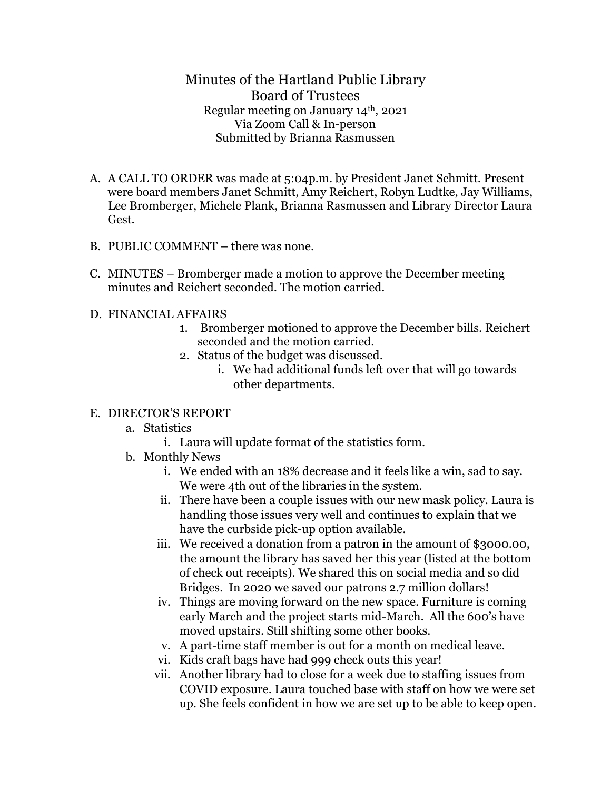Minutes of the Hartland Public Library Board of Trustees Regular meeting on January 14th, 2021 Via Zoom Call & In-person Submitted by Brianna Rasmussen

- A. A CALL TO ORDER was made at 5:04p.m. by President Janet Schmitt. Present were board members Janet Schmitt, Amy Reichert, Robyn Ludtke, Jay Williams, Lee Bromberger, Michele Plank, Brianna Rasmussen and Library Director Laura Gest.
- B. PUBLIC COMMENT there was none.
- C. MINUTES Bromberger made a motion to approve the December meeting minutes and Reichert seconded. The motion carried.
- D. FINANCIAL AFFAIRS
	- 1. Bromberger motioned to approve the December bills. Reichert seconded and the motion carried.
	- 2. Status of the budget was discussed.
		- i. We had additional funds left over that will go towards other departments.

## E. DIRECTOR'S REPORT

- a. Statistics
	- i. Laura will update format of the statistics form.
- b. Monthly News
	- i. We ended with an 18% decrease and it feels like a win, sad to say. We were 4th out of the libraries in the system.
	- ii. There have been a couple issues with our new mask policy. Laura is handling those issues very well and continues to explain that we have the curbside pick-up option available.
	- iii. We received a donation from a patron in the amount of \$3000.00, the amount the library has saved her this year (listed at the bottom of check out receipts). We shared this on social media and so did Bridges. In 2020 we saved our patrons 2.7 million dollars!
	- iv. Things are moving forward on the new space. Furniture is coming early March and the project starts mid-March. All the 600's have moved upstairs. Still shifting some other books.
	- v. A part-time staff member is out for a month on medical leave.
	- vi. Kids craft bags have had 999 check outs this year!
	- vii. Another library had to close for a week due to staffing issues from COVID exposure. Laura touched base with staff on how we were set up. She feels confident in how we are set up to be able to keep open.